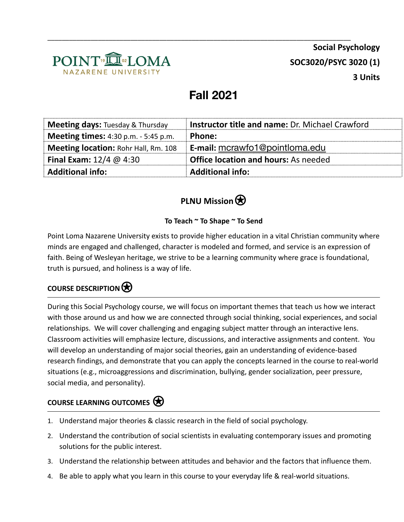

# **Fall 2021**

\_\_\_\_\_\_\_\_\_\_\_\_\_\_\_\_\_\_\_\_\_\_\_\_\_\_\_\_\_\_\_\_\_\_\_\_\_\_\_\_\_\_\_\_\_\_\_\_\_\_\_\_\_\_\_\_\_\_\_\_\_\_\_\_\_\_\_\_\_\_\_\_\_\_\_\_\_\_\_\_\_\_\_\_

| <b>Meeting days:</b> Tuesday & Thursday     | <b>Instructor title and name: Dr. Michael Crawford</b> |
|---------------------------------------------|--------------------------------------------------------|
| <b>Meeting times:</b> 4:30 p.m. - 5:45 p.m. | <b>Phone:</b>                                          |
| <b>Meeting location: Rohr Hall, Rm. 108</b> | E-mail: mcrawfo1@pointloma.edu                         |
| <b>Final Exam:</b> $12/4 \ @ 4:30$          | <b>Office location and hours:</b> As needed            |
| <b>Additional info:</b>                     | <b>Additional info:</b>                                |

## **PLNU** Mission

#### **To Teach ~ To Shape ~ To Send**

Point Loma Nazarene University exists to provide higher education in a vital Christian community where minds are engaged and challenged, character is modeled and formed, and service is an expression of faith. Being of Wesleyan heritage, we strive to be a learning community where grace is foundational, truth is pursued, and holiness is a way of life.

### **COURSE DESCRIPTION**⍟

During this Social Psychology course, we will focus on important themes that teach us how we interact with those around us and how we are connected through social thinking, social experiences, and social relationships. We will cover challenging and engaging subject matter through an interactive lens. Classroom activities will emphasize lecture, discussions, and interactive assignments and content. You will develop an understanding of major social theories, gain an understanding of evidence-based research findings, and demonstrate that you can apply the concepts learned in the course to real-world situations (e.g., microaggressions and discrimination, bullying, gender socialization, peer pressure, social media, and personality).

#### **COURSE LEARNING OUTCOMES**⍟

- 1. Understand major theories & classic research in the field of social psychology.
- 2. Understand the contribution of social scientists in evaluating contemporary issues and promoting solutions for the public interest.
- 3. Understand the relationship between attitudes and behavior and the factors that influence them.
- 4. Be able to apply what you learn in this course to your everyday life & real-world situations.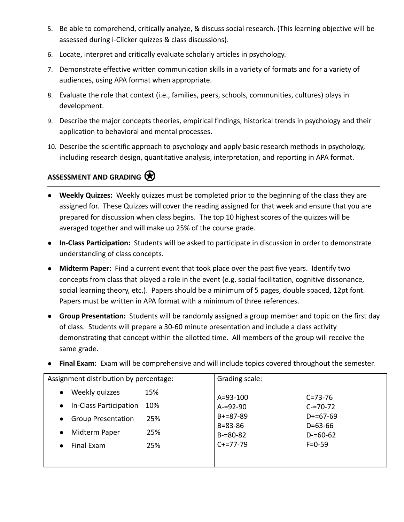- 5. Be able to comprehend, critically analyze, & discuss social research. (This learning objective will be assessed during i-Clicker quizzes & class discussions).
- 6. Locate, interpret and critically evaluate scholarly articles in psychology.
- 7. Demonstrate effective written communication skills in a variety of formats and for a variety of audiences, using APA format when appropriate.
- 8. Evaluate the role that context (i.e., families, peers, schools, communities, cultures) plays in development.
- 9. Describe the major concepts theories, empirical findings, historical trends in psychology and their application to behavioral and mental processes.
- 10. Describe the scientific approach to psychology and apply basic research methods in psychology, including research design, quantitative analysis, interpretation, and reporting in APA format.

#### ASSESSMENT AND GRADING  $\bigotimes$

- **Weekly Quizzes:** Weekly quizzes must be completed prior to the beginning of the class they are assigned for. These Quizzes will cover the reading assigned for that week and ensure that you are prepared for discussion when class begins. The top 10 highest scores of the quizzes will be averaged together and will make up 25% of the course grade.
- **In-Class Participation:** Students will be asked to participate in discussion in order to demonstrate understanding of class concepts.
- **Midterm Paper:** Find a current event that took place over the past five years. Identify two concepts from class that played a role in the event (e.g. social facilitation, cognitive dissonance, social learning theory, etc.). Papers should be a minimum of 5 pages, double spaced, 12pt font. Papers must be written in APA format with a minimum of three references.
- **Group Presentation:** Students will be randomly assigned a group member and topic on the first day of class. Students will prepare a 30-60 minute presentation and include a class activity demonstrating that concept within the allotted time. All members of the group will receive the same grade.

|  |  |  |  | • Final Exam: Exam will be comprehensive and will include topics covered throughout the semester. |
|--|--|--|--|---------------------------------------------------------------------------------------------------|
|--|--|--|--|---------------------------------------------------------------------------------------------------|

| Assignment distribution by percentage:        | Grading scale:                 |                                |
|-----------------------------------------------|--------------------------------|--------------------------------|
| Weekly quizzes<br>15%<br>$\bullet$            | $A = 93 - 100$                 | $C = 73 - 76$                  |
| In-Class Participation<br>10%<br>$\bullet$    | $A = 92 - 90$                  | $C = 70 - 72$                  |
| 25%<br><b>Group Presentation</b><br>$\bullet$ | $B+=87-89$                     | $D+=67-69$                     |
| 25%<br>Midterm Paper<br>$\bullet$             | $B = 83 - 86$<br>$B = 80 - 82$ | $D = 63 - 66$<br>$D = 60 - 62$ |
| Final Exam<br>25%<br>$\bullet$                | $C+=77-79$                     | $F = 0 - 59$                   |
|                                               |                                |                                |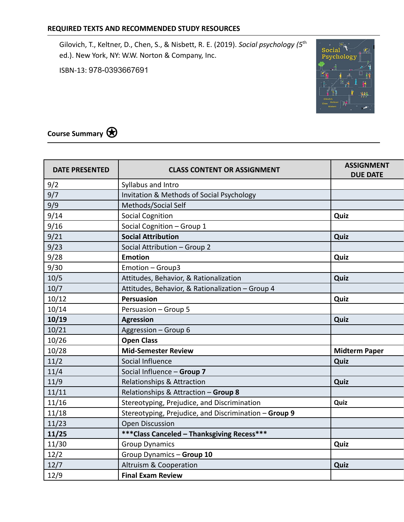Gilovich, T., Keltner, D., Chen, S., & Nisbett, R. E. (2019). *Social psychology (5*th ed.). New York, NY: W.W. Norton & Company, Inc.

ISBN-13: 978-0393667691



**Course Summary**⍟

| <b>DATE PRESENTED</b> | <b>CLASS CONTENT OR ASSIGNMENT</b>                    | <b>ASSIGNMENT</b><br><b>DUE DATE</b> |
|-----------------------|-------------------------------------------------------|--------------------------------------|
| 9/2                   | Syllabus and Intro                                    |                                      |
| 9/7                   | Invitation & Methods of Social Psychology             |                                      |
| 9/9                   | Methods/Social Self                                   |                                      |
| 9/14                  | <b>Social Cognition</b>                               | Quiz                                 |
| 9/16                  | Social Cognition - Group 1                            |                                      |
| 9/21                  | <b>Social Attribution</b>                             | Quiz                                 |
| 9/23                  | Social Attribution - Group 2                          |                                      |
| 9/28                  | <b>Emotion</b>                                        | Quiz                                 |
| 9/30                  | Emotion - Group3                                      |                                      |
| 10/5                  | Attitudes, Behavior, & Rationalization                | Quiz                                 |
| 10/7                  | Attitudes, Behavior, & Rationalization - Group 4      |                                      |
| 10/12                 | Persuasion                                            | Quiz                                 |
| 10/14                 | Persuasion - Group 5                                  |                                      |
| 10/19                 | <b>Agression</b>                                      | Quiz                                 |
| 10/21                 | Aggression - Group 6                                  |                                      |
| 10/26                 | <b>Open Class</b>                                     |                                      |
| 10/28                 | <b>Mid-Semester Review</b>                            | <b>Midterm Paper</b>                 |
| 11/2                  | Social Influence                                      | Quiz                                 |
| 11/4                  | Social Influence - Group 7                            |                                      |
| 11/9                  | Relationships & Attraction                            | Quiz                                 |
| 11/11                 | Relationships & Attraction - Group 8                  |                                      |
| 11/16                 | Stereotyping, Prejudice, and Discrimination           | Quiz                                 |
| 11/18                 | Stereotyping, Prejudice, and Discrimination - Group 9 |                                      |
| 11/23                 | <b>Open Discussion</b>                                |                                      |
| 11/25                 | *** Class Canceled - Thanksgiving Recess***           |                                      |
| 11/30                 | <b>Group Dynamics</b>                                 | Quiz                                 |
| 12/2                  | Group Dynamics - Group 10                             |                                      |
| 12/7                  | Altruism & Cooperation                                | Quiz                                 |
| 12/9                  | <b>Final Exam Review</b>                              |                                      |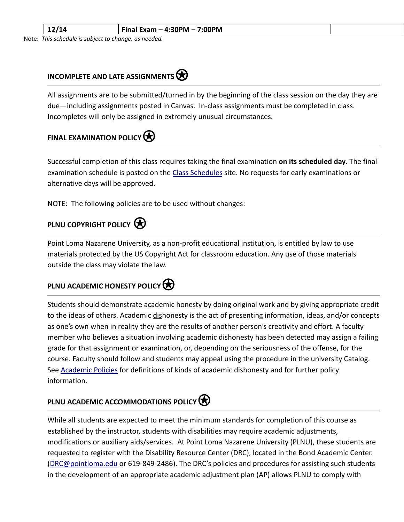| -- | 7:00PM<br>$'$ Final Exam $-$ 4:30PM $-$ 7. |  |
|----|--------------------------------------------|--|
|    |                                            |  |

Note: *This schedule is subject to change, as needed.*

#### **INCOMPLETE AND LATE ASSIGNMENTS**⍟

All assignments are to be submitted/turned in by the beginning of the class session on the day they are due—including assignments posted in Canvas. In-class assignments must be completed in class. Incompletes will only be assigned in extremely unusual circumstances.

## **FINAL EXAMINATION POLICY**

Successful completion of this class requires taking the final examination **on its scheduled day**. The final examination schedule is posted on the [Class Schedules](http://www.pointloma.edu/experience/academics/class-schedules) site. No requests for early examinations or alternative days will be approved.

NOTE: The following policies are to be used without changes:

#### **PLNU COPYRIGHT POLICY**

Point Loma Nazarene University, as a non-profit educational institution, is entitled by law to use materials protected by the US Copyright Act for classroom education. Any use of those materials outside the class may violate the law.

#### **PLNU ACADEMIC HONESTY POLICY**

Students should demonstrate academic honesty by doing original work and by giving appropriate credit to the ideas of others. Academic dishonesty is the act of presenting information, ideas, and/or concepts as one's own when in reality they are the results of another person's creativity and effort. A faculty member who believes a situation involving academic dishonesty has been detected may assign a failing grade for that assignment or examination, or, depending on the seriousness of the offense, for the course. Faculty should follow and students may appeal using the procedure in the university Catalog. See [Academic Policies](http://catalog.pointloma.edu/content.php?catoid=18&navoid=1278) for definitions of kinds of academic dishonesty and for further policy information.

### **PLNU ACADEMIC ACCOMMODATIONS POLICY**

While all students are expected to meet the minimum standards for completion of this course as established by the instructor, students with disabilities may require academic adjustments, modifications or auxiliary aids/services. At Point Loma Nazarene University (PLNU), these students are requested to register with the Disability Resource Center (DRC), located in the Bond Academic Center. ([DRC@pointloma.edu](mailto:DRC@pointloma.edu) or 619-849-2486). The DRC's policies and procedures for assisting such students in the development of an appropriate academic adjustment plan (AP) allows PLNU to comply with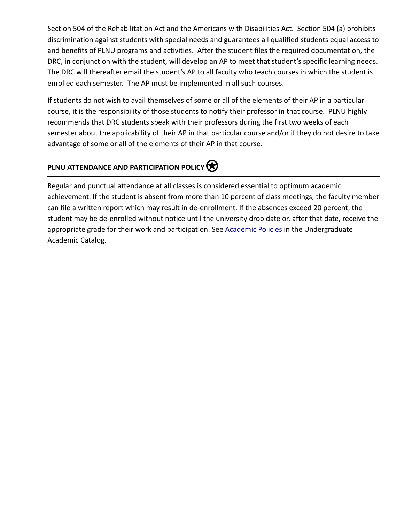Section 504 of the Rehabilitation Act and the Americans with Disabilities Act. Section 504 (a) prohibits discrimination against students with special needs and guarantees all qualified students equal access to and benefits of PLNU programs and activities. After the student files the required documentation, the DRC, in conjunction with the student, will develop an AP to meet that student's specific learning needs. The DRC will thereafter email the student's AP to all faculty who teach courses in which the student is enrolled each semester. The AP must be implemented in all such courses.

If students do not wish to avail themselves of some or all of the elements of their AP in a particular course, it is the responsibility of those students to notify their professor in that course. PLNU highly recommends that DRC students speak with their professors during the first two weeks of each semester about the applicability of their AP in that particular course and/or if they do not desire to take advantage of some or all of the elements of their AP in that course.

## **PLNU ATTENDANCE AND PARTICIPATION POLICY**

Regular and punctual attendance at all classes is considered essential to optimum academic achievement. If the student is absent from more than 10 percent of class meetings, the faculty member can file a written report which may result in de-enrollment. If the absences exceed 20 percent, the student may be de-enrolled without notice until the university drop date or, after that date, receive the appropriate grade for their work and participation. See [Academic Policies](http://catalog.pointloma.edu/content.php?catoid=18&navoid=1278) in the Undergraduate Academic Catalog.